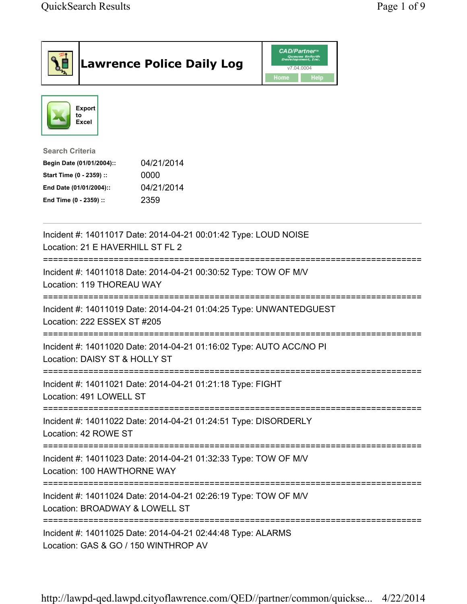| <b>Lawrence Police Daily Log</b>                                                                                                                                                 | <b>CAD/Partner</b> "<br>Queues Enforth<br>Development, Inc.<br>v7.04.0004<br>Home<br><b>Help</b> |
|----------------------------------------------------------------------------------------------------------------------------------------------------------------------------------|--------------------------------------------------------------------------------------------------|
| <b>Export</b><br>to<br>Excel                                                                                                                                                     |                                                                                                  |
| <b>Search Criteria</b><br>04/21/2014<br>Begin Date (01/01/2004)::<br>Start Time (0 - 2359) ::<br>0000<br>04/21/2014<br>End Date (01/01/2004)::<br>2359<br>End Time (0 - 2359) :: |                                                                                                  |
| Incident #: 14011017 Date: 2014-04-21 00:01:42 Type: LOUD NOISE<br>Location: 21 E HAVERHILL ST FL 2                                                                              |                                                                                                  |
| :=========================<br>Incident #: 14011018 Date: 2014-04-21 00:30:52 Type: TOW OF M/V<br>Location: 119 THOREAU WAY                                                       |                                                                                                  |
| Incident #: 14011019 Date: 2014-04-21 01:04:25 Type: UNWANTEDGUEST<br>Location: 222 ESSEX ST #205                                                                                |                                                                                                  |
| Incident #: 14011020 Date: 2014-04-21 01:16:02 Type: AUTO ACC/NO PI<br>Location: DAISY ST & HOLLY ST                                                                             |                                                                                                  |
| Incident #: 14011021 Date: 2014-04-21 01:21:18 Type: FIGHT<br>Location: 491 LOWELL ST                                                                                            |                                                                                                  |
| Incident #: 14011022 Date: 2014-04-21 01:24:51 Type: DISORDERLY<br>Location: 42 ROWE ST                                                                                          |                                                                                                  |
| Incident #: 14011023 Date: 2014-04-21 01:32:33 Type: TOW OF M/V<br>Location: 100 HAWTHORNE WAY                                                                                   |                                                                                                  |
| Incident #: 14011024 Date: 2014-04-21 02:26:19 Type: TOW OF M/V<br>Location: BROADWAY & LOWELL ST                                                                                |                                                                                                  |
| Incident #: 14011025 Date: 2014-04-21 02:44:48 Type: ALARMS<br>Location: GAS & GO / 150 WINTHROP AV                                                                              |                                                                                                  |

http://lawpd-qed.lawpd.cityoflawrence.com/QED//partner/common/quickse... 4/22/2014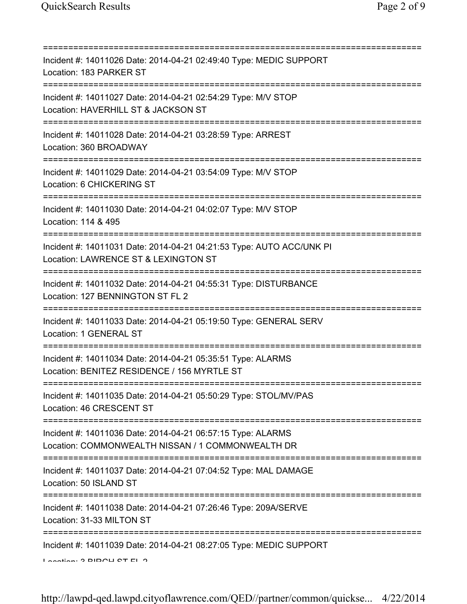=========================================================================== Incident #: 14011026 Date: 2014-04-21 02:49:40 Type: MEDIC SUPPORT Location: 183 PARKER ST =========================================================================== Incident #: 14011027 Date: 2014-04-21 02:54:29 Type: M/V STOP Location: HAVERHILL ST & JACKSON ST =========================================================================== Incident #: 14011028 Date: 2014-04-21 03:28:59 Type: ARREST Location: 360 BROADWAY =========================================================================== Incident #: 14011029 Date: 2014-04-21 03:54:09 Type: M/V STOP Location: 6 CHICKERING ST =========================================================================== Incident #: 14011030 Date: 2014-04-21 04:02:07 Type: M/V STOP Location: 114 & 495 =========================================================================== Incident #: 14011031 Date: 2014-04-21 04:21:53 Type: AUTO ACC/UNK PI Location: LAWRENCE ST & LEXINGTON ST =========================================================================== Incident #: 14011032 Date: 2014-04-21 04:55:31 Type: DISTURBANCE Location: 127 BENNINGTON ST FL 2 =========================================================================== Incident #: 14011033 Date: 2014-04-21 05:19:50 Type: GENERAL SERV Location: 1 GENERAL ST =========================================================================== Incident #: 14011034 Date: 2014-04-21 05:35:51 Type: ALARMS Location: BENITEZ RESIDENCE / 156 MYRTLE ST =========================================================================== Incident #: 14011035 Date: 2014-04-21 05:50:29 Type: STOL/MV/PAS Location: 46 CRESCENT ST =========================================================================== Incident #: 14011036 Date: 2014-04-21 06:57:15 Type: ALARMS Location: COMMONWEALTH NISSAN / 1 COMMONWEALTH DR =========================================================================== Incident #: 14011037 Date: 2014-04-21 07:04:52 Type: MAL DAMAGE Location: 50 ISLAND ST =========================================================================== Incident #: 14011038 Date: 2014-04-21 07:26:46 Type: 209A/SERVE Location: 31-33 MILTON ST =========================================================================== Incident #: 14011039 Date: 2014-04-21 08:27:05 Type: MEDIC SUPPORT Location: 2 BIRCH ST FL 2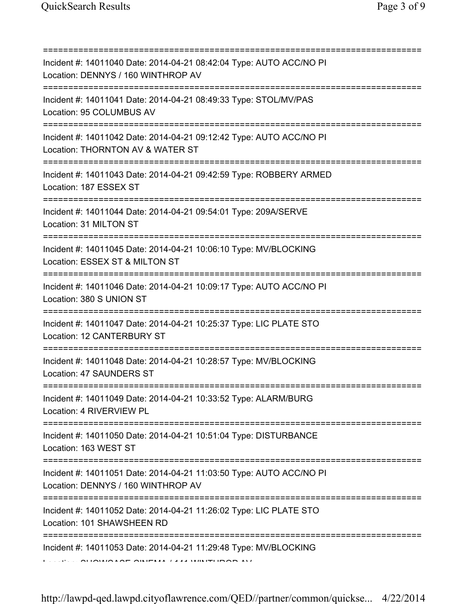| Incident #: 14011040 Date: 2014-04-21 08:42:04 Type: AUTO ACC/NO PI<br>Location: DENNYS / 160 WINTHROP AV<br>=======================        |
|---------------------------------------------------------------------------------------------------------------------------------------------|
| Incident #: 14011041 Date: 2014-04-21 08:49:33 Type: STOL/MV/PAS<br>Location: 95 COLUMBUS AV                                                |
| Incident #: 14011042 Date: 2014-04-21 09:12:42 Type: AUTO ACC/NO PI<br>Location: THORNTON AV & WATER ST<br>==========================       |
| Incident #: 14011043 Date: 2014-04-21 09:42:59 Type: ROBBERY ARMED<br>Location: 187 ESSEX ST                                                |
| Incident #: 14011044 Date: 2014-04-21 09:54:01 Type: 209A/SERVE<br>Location: 31 MILTON ST<br>===================================            |
| Incident #: 14011045 Date: 2014-04-21 10:06:10 Type: MV/BLOCKING<br>Location: ESSEX ST & MILTON ST<br>===================================== |
| Incident #: 14011046 Date: 2014-04-21 10:09:17 Type: AUTO ACC/NO PI<br>Location: 380 S UNION ST<br>=============                            |
| Incident #: 14011047 Date: 2014-04-21 10:25:37 Type: LIC PLATE STO<br>Location: 12 CANTERBURY ST                                            |
| Incident #: 14011048 Date: 2014-04-21 10:28:57 Type: MV/BLOCKING<br>Location: 47 SAUNDERS ST                                                |
| Incident #: 14011049 Date: 2014-04-21 10:33:52 Type: ALARM/BURG<br>Location: 4 RIVERVIEW PL                                                 |
| Incident #: 14011050 Date: 2014-04-21 10:51:04 Type: DISTURBANCE<br>Location: 163 WEST ST                                                   |
| Incident #: 14011051 Date: 2014-04-21 11:03:50 Type: AUTO ACC/NO PI<br>Location: DENNYS / 160 WINTHROP AV                                   |
| Incident #: 14011052 Date: 2014-04-21 11:26:02 Type: LIC PLATE STO<br>Location: 101 SHAWSHEEN RD                                            |
| Incident #: 14011053 Date: 2014-04-21 11:29:48 Type: MV/BLOCKING                                                                            |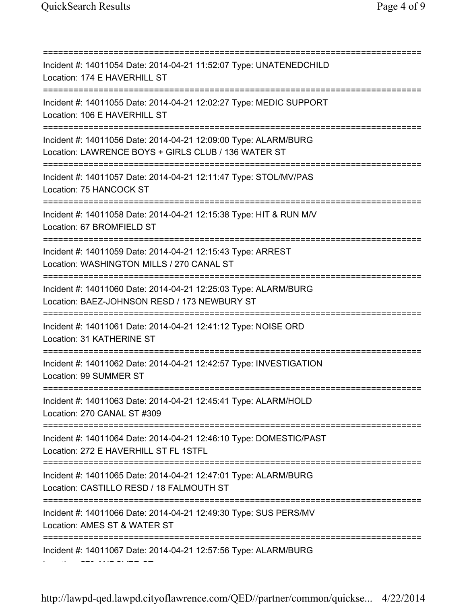=========================================================================== Incident #: 14011054 Date: 2014-04-21 11:52:07 Type: UNATENEDCHILD Location: 174 E HAVERHILL ST =========================================================================== Incident #: 14011055 Date: 2014-04-21 12:02:27 Type: MEDIC SUPPORT Location: 106 F HAVERHILL ST =========================================================================== Incident #: 14011056 Date: 2014-04-21 12:09:00 Type: ALARM/BURG Location: LAWRENCE BOYS + GIRLS CLUB / 136 WATER ST =========================================================================== Incident #: 14011057 Date: 2014-04-21 12:11:47 Type: STOL/MV/PAS Location: 75 HANCOCK ST =========================================================================== Incident #: 14011058 Date: 2014-04-21 12:15:38 Type: HIT & RUN M/V Location: 67 BROMFIELD ST =========================================================================== Incident #: 14011059 Date: 2014-04-21 12:15:43 Type: ARREST Location: WASHINGTON MILLS / 270 CANAL ST =========================================================================== Incident #: 14011060 Date: 2014-04-21 12:25:03 Type: ALARM/BURG Location: BAEZ-JOHNSON RESD / 173 NEWBURY ST =========================================================================== Incident #: 14011061 Date: 2014-04-21 12:41:12 Type: NOISE ORD Location: 31 KATHERINE ST =========================================================================== Incident #: 14011062 Date: 2014-04-21 12:42:57 Type: INVESTIGATION Location: 99 SUMMER ST =========================================================================== Incident #: 14011063 Date: 2014-04-21 12:45:41 Type: ALARM/HOLD Location: 270 CANAL ST #309 =========================================================================== Incident #: 14011064 Date: 2014-04-21 12:46:10 Type: DOMESTIC/PAST Location: 272 E HAVERHILL ST FL 1STFL =========================================================================== Incident #: 14011065 Date: 2014-04-21 12:47:01 Type: ALARM/BURG Location: CASTILLO RESD / 18 FALMOUTH ST =========================================================================== Incident #: 14011066 Date: 2014-04-21 12:49:30 Type: SUS PERS/MV Location: AMES ST & WATER ST =========================================================================== Incident #: 14011067 Date: 2014-04-21 12:57:56 Type: ALARM/BURG Location: 579 ANDOVER ST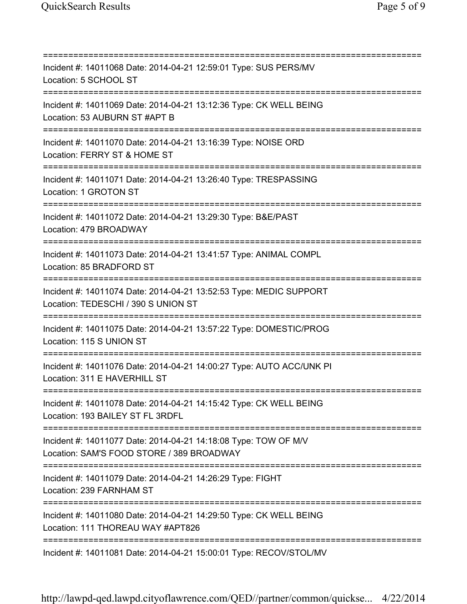=========================================================================== Incident #: 14011068 Date: 2014-04-21 12:59:01 Type: SUS PERS/MV Location: 5 SCHOOL ST =========================================================================== Incident #: 14011069 Date: 2014-04-21 13:12:36 Type: CK WELL BEING Location: 53 AUBURN ST #APT B =========================================================================== Incident #: 14011070 Date: 2014-04-21 13:16:39 Type: NOISE ORD Location: FERRY ST & HOME ST =========================================================================== Incident #: 14011071 Date: 2014-04-21 13:26:40 Type: TRESPASSING Location: 1 GROTON ST =========================================================================== Incident #: 14011072 Date: 2014-04-21 13:29:30 Type: B&E/PAST Location: 479 BROADWAY =========================================================================== Incident #: 14011073 Date: 2014-04-21 13:41:57 Type: ANIMAL COMPL Location: 85 BRADFORD ST =========================================================================== Incident #: 14011074 Date: 2014-04-21 13:52:53 Type: MEDIC SUPPORT Location: TEDESCHI / 390 S UNION ST =========================================================================== Incident #: 14011075 Date: 2014-04-21 13:57:22 Type: DOMESTIC/PROG Location: 115 S UNION ST =========================================================================== Incident #: 14011076 Date: 2014-04-21 14:00:27 Type: AUTO ACC/UNK PI Location: 311 E HAVERHILL ST =========================================================================== Incident #: 14011078 Date: 2014-04-21 14:15:42 Type: CK WELL BEING Location: 193 BAILEY ST FL 3RDFL =========================================================================== Incident #: 14011077 Date: 2014-04-21 14:18:08 Type: TOW OF M/V Location: SAM'S FOOD STORE / 389 BROADWAY =========================================================================== Incident #: 14011079 Date: 2014-04-21 14:26:29 Type: FIGHT Location: 239 FARNHAM ST =========================================================================== Incident #: 14011080 Date: 2014-04-21 14:29:50 Type: CK WELL BEING Location: 111 THOREAU WAY #APT826 =========================================================================== Incident #: 14011081 Date: 2014-04-21 15:00:01 Type: RECOV/STOL/MV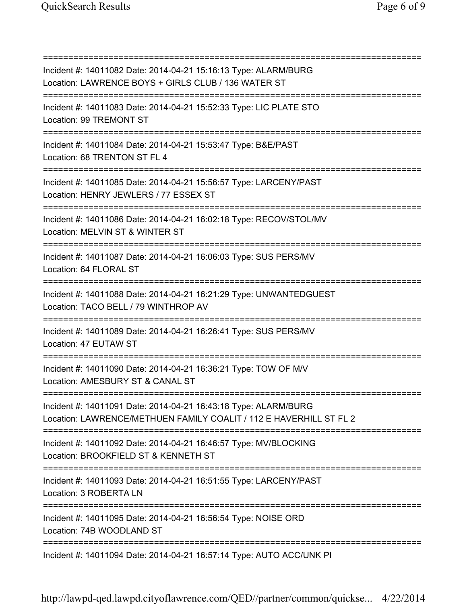=========================================================================== Incident #: 14011082 Date: 2014-04-21 15:16:13 Type: ALARM/BURG Location: LAWRENCE BOYS + GIRLS CLUB / 136 WATER ST =========================================================================== Incident #: 14011083 Date: 2014-04-21 15:52:33 Type: LIC PLATE STO Location: 99 TREMONT ST =========================================================================== Incident #: 14011084 Date: 2014-04-21 15:53:47 Type: B&E/PAST Location: 68 TRENTON ST FL 4 =========================================================================== Incident #: 14011085 Date: 2014-04-21 15:56:57 Type: LARCENY/PAST Location: HENRY JEWLERS / 77 ESSEX ST =========================================================================== Incident #: 14011086 Date: 2014-04-21 16:02:18 Type: RECOV/STOL/MV Location: MELVIN ST & WINTER ST =========================================================================== Incident #: 14011087 Date: 2014-04-21 16:06:03 Type: SUS PERS/MV Location: 64 FLORAL ST =========================================================================== Incident #: 14011088 Date: 2014-04-21 16:21:29 Type: UNWANTEDGUEST Location: TACO BELL / 79 WINTHROP AV =========================================================================== Incident #: 14011089 Date: 2014-04-21 16:26:41 Type: SUS PERS/MV Location: 47 EUTAW ST =========================================================================== Incident #: 14011090 Date: 2014-04-21 16:36:21 Type: TOW OF M/V Location: AMESBURY ST & CANAL ST =========================================================================== Incident #: 14011091 Date: 2014-04-21 16:43:18 Type: ALARM/BURG Location: LAWRENCE/METHUEN FAMILY COALIT / 112 E HAVERHILL ST FL 2 =========================================================================== Incident #: 14011092 Date: 2014-04-21 16:46:57 Type: MV/BLOCKING Location: BROOKFIELD ST & KENNETH ST =========================================================================== Incident #: 14011093 Date: 2014-04-21 16:51:55 Type: LARCENY/PAST Location: 3 ROBERTA LN =========================================================================== Incident #: 14011095 Date: 2014-04-21 16:56:54 Type: NOISE ORD Location: 74B WOODLAND ST =========================================================================== Incident #: 14011094 Date: 2014-04-21 16:57:14 Type: AUTO ACC/UNK PI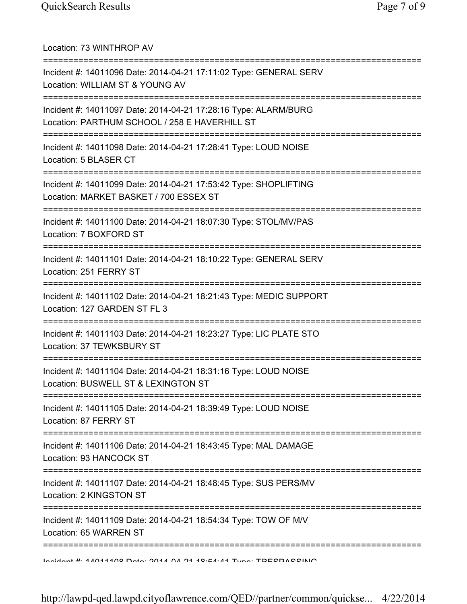| Location: 73 WINTHROP AV                                                                                                           |
|------------------------------------------------------------------------------------------------------------------------------------|
| Incident #: 14011096 Date: 2014-04-21 17:11:02 Type: GENERAL SERV<br>Location: WILLIAM ST & YOUNG AV                               |
| Incident #: 14011097 Date: 2014-04-21 17:28:16 Type: ALARM/BURG<br>Location: PARTHUM SCHOOL / 258 E HAVERHILL ST                   |
| Incident #: 14011098 Date: 2014-04-21 17:28:41 Type: LOUD NOISE<br>Location: 5 BLASER CT                                           |
| Incident #: 14011099 Date: 2014-04-21 17:53:42 Type: SHOPLIFTING<br>Location: MARKET BASKET / 700 ESSEX ST                         |
| Incident #: 14011100 Date: 2014-04-21 18:07:30 Type: STOL/MV/PAS<br>Location: 7 BOXFORD ST                                         |
| Incident #: 14011101 Date: 2014-04-21 18:10:22 Type: GENERAL SERV<br>Location: 251 FERRY ST                                        |
| ============================<br>Incident #: 14011102 Date: 2014-04-21 18:21:43 Type: MEDIC SUPPORT<br>Location: 127 GARDEN ST FL 3 |
| Incident #: 14011103 Date: 2014-04-21 18:23:27 Type: LIC PLATE STO<br>Location: 37 TEWKSBURY ST                                    |
| Incident #: 14011104 Date: 2014-04-21 18:31:16 Type: LOUD NOISE<br>Location: BUSWELL ST & LEXINGTON ST                             |
| Incident #: 14011105 Date: 2014-04-21 18:39:49 Type: LOUD NOISE<br>Location: 87 FERRY ST                                           |
| Incident #: 14011106 Date: 2014-04-21 18:43:45 Type: MAL DAMAGE<br>Location: 93 HANCOCK ST                                         |
| Incident #: 14011107 Date: 2014-04-21 18:48:45 Type: SUS PERS/MV<br>Location: 2 KINGSTON ST                                        |
| Incident #: 14011109 Date: 2014-04-21 18:54:34 Type: TOW OF M/V<br>Location: 65 WARREN ST                                          |
| Indidnat # 44044400 Data: 0044 04 140.54.44 Time: TDECDACCINIO                                                                     |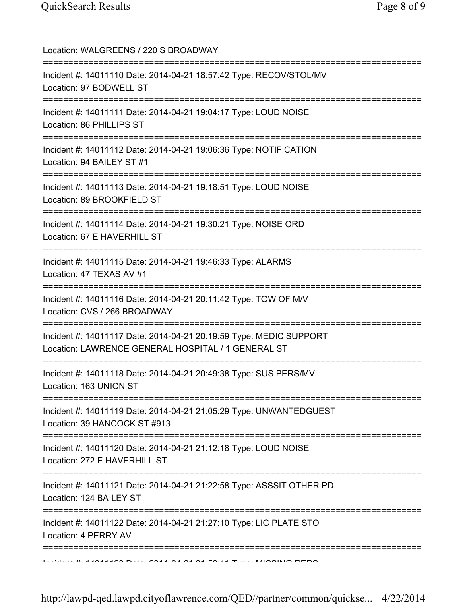| Location: WALGREENS / 220 S BROADWAY<br>====================================                                                            |
|-----------------------------------------------------------------------------------------------------------------------------------------|
| Incident #: 14011110 Date: 2014-04-21 18:57:42 Type: RECOV/STOL/MV<br>Location: 97 BODWELL ST                                           |
| Incident #: 14011111 Date: 2014-04-21 19:04:17 Type: LOUD NOISE<br>Location: 86 PHILLIPS ST                                             |
| Incident #: 14011112 Date: 2014-04-21 19:06:36 Type: NOTIFICATION<br>Location: 94 BAILEY ST #1<br>==============================        |
| Incident #: 14011113 Date: 2014-04-21 19:18:51 Type: LOUD NOISE<br>Location: 89 BROOKFIELD ST                                           |
| Incident #: 14011114 Date: 2014-04-21 19:30:21 Type: NOISE ORD<br>Location: 67 E HAVERHILL ST                                           |
| Incident #: 14011115 Date: 2014-04-21 19:46:33 Type: ALARMS<br>Location: 47 TEXAS AV #1<br>:===================================         |
| Incident #: 14011116 Date: 2014-04-21 20:11:42 Type: TOW OF M/V<br>Location: CVS / 266 BROADWAY                                         |
| Incident #: 14011117 Date: 2014-04-21 20:19:59 Type: MEDIC SUPPORT<br>Location: LAWRENCE GENERAL HOSPITAL / 1 GENERAL ST                |
| Incident #: 14011118 Date: 2014-04-21 20:49:38 Type: SUS PERS/MV<br>Location: 163 UNION ST                                              |
| Incident #: 14011119 Date: 2014-04-21 21:05:29 Type: UNWANTEDGUEST<br>Location: 39 HANCOCK ST #913                                      |
| ====================================<br>Incident #: 14011120 Date: 2014-04-21 21:12:18 Type: LOUD NOISE<br>Location: 272 E HAVERHILL ST |
| =============================<br>Incident #: 14011121 Date: 2014-04-21 21:22:58 Type: ASSSIT OTHER PD<br>Location: 124 BAILEY ST        |
| Incident #: 14011122 Date: 2014-04-21 21:27:10 Type: LIC PLATE STO<br>Location: 4 PERRY AV                                              |
|                                                                                                                                         |

http://lawpd-qed.lawpd.cityoflawrence.com/QED//partner/common/quickse... 4/22/2014